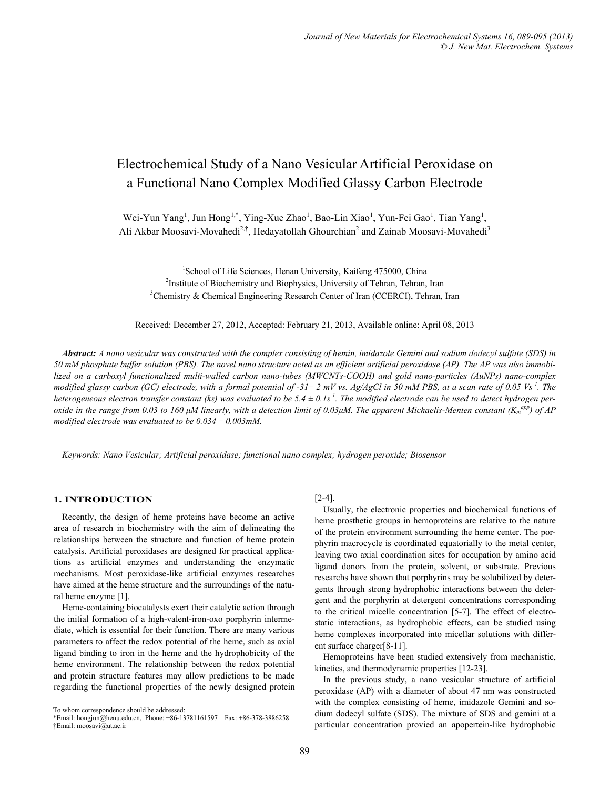# Electrochemical Study of a Nano Vesicular Artificial Peroxidase on a Functional Nano Complex Modified Glassy Carbon Electrode

Wei-Yun Yang<sup>1</sup>, Jun Hong<sup>1,\*</sup>, Ying-Xue Zhao<sup>1</sup>, Bao-Lin Xiao<sup>1</sup>, Yun-Fei Gao<sup>1</sup>, Tian Yang<sup>1</sup>, Ali Akbar Moosavi-Movahedi<sup>2,†</sup>, Hedayatollah Ghourchian<sup>2</sup> and Zainab Moosavi-Movahedi<sup>3</sup>

<sup>1</sup>School of Life Sciences, Henan University, Kaifeng 475000, China<br><sup>2</sup>Institute of Biochemistry and Biophysics, University of Tehran, Tehran <sup>2</sup>Institute of Biochemistry and Biophysics, University of Tehran, Tehran, Iran <sup>3</sup>Chemistry & Chemical Engineering Research Center of Iran (CCERCI), Tehran, Iran

Received: December 27, 2012, Accepted: February 21, 2013, Available online: April 08, 2013

*Abstract: A nano vesicular was constructed with the complex consisting of hemin, imidazole Gemini and sodium dodecyl sulfate (SDS) in 50 mM phosphate buffer solution (PBS). The novel nano structure acted as an efficient artificial peroxidase (AP). The AP was also immobilized on a carboxyl functionalized multi-walled carbon nano-tubes (MWCNTs-COOH) and gold nano-particles (AuNPs) nano-complex modified glassy carbon (GC) electrode, with a formal potential of -31* $\pm$  *2 mV vs. Ag/AgCl in 50 mM PBS, at a scan rate of 0.05 Vs<sup>-1</sup>. The* heterogeneous electron transfer constant (ks) was evaluated to be 5.4  $\pm$  0.1s<sup>-1</sup>. The modified electrode can be used to detect hydrogen per*oxide in the range from 0.03 to 160 μM linearly, with a detection limit of 0.03μM. The apparent Michaelis-Menten constant (K<sub>m</sub><sup>app</sup>) of AP modified electrode was evaluated to be 0.034 ± 0.003mM.* 

*Keywords: Nano Vesicular; Artificial peroxidase; functional nano complex; hydrogen peroxide; Biosensor* 

## **1. INTRODUCTION**

Recently, the design of heme proteins have become an active area of research in biochemistry with the aim of delineating the relationships between the structure and function of heme protein catalysis. Artificial peroxidases are designed for practical applications as artificial enzymes and understanding the enzymatic mechanisms. Most peroxidase-like artificial enzymes researches have aimed at the heme structure and the surroundings of the natural heme enzyme [1].

Heme-containing biocatalysts exert their catalytic action through the initial formation of a high-valent-iron-oxo porphyrin intermediate, which is essential for their function. There are many various parameters to affect the redox potential of the heme, such as axial ligand binding to iron in the heme and the hydrophobicity of the heme environment. The relationship between the redox potential and protein structure features may allow predictions to be made regarding the functional properties of the newly designed protein

# [2-4].

Usually, the electronic properties and biochemical functions of heme prosthetic groups in hemoproteins are relative to the nature of the protein environment surrounding the heme center. The porphyrin macrocycle is coordinated equatorially to the metal center, leaving two axial coordination sites for occupation by amino acid ligand donors from the protein, solvent, or substrate. Previous researchs have shown that porphyrins may be solubilized by detergents through strong hydrophobic interactions between the detergent and the porphyrin at detergent concentrations corresponding to the critical micelle concentration [5-7]. The effect of electrostatic interactions, as hydrophobic effects, can be studied using heme complexes incorporated into micellar solutions with different surface charger[8-11].

Hemoproteins have been studied extensively from mechanistic, kinetics, and thermodynamic properties [12-23].

In the previous study, a nano vesicular structure of artificial peroxidase (AP) with a diameter of about 47 nm was constructed with the complex consisting of heme, imidazole Gemini and sodium dodecyl sulfate (SDS). The mixture of SDS and gemini at a particular concentration provied an apopertein-like hydrophobic

To whom correspondence should be addressed:

<sup>\*</sup>Email: hongjun@henu.edu.cn, Phone: +86-13781161597 Fax: +86-378-3886258 †Email: moosavi@ut.ac.ir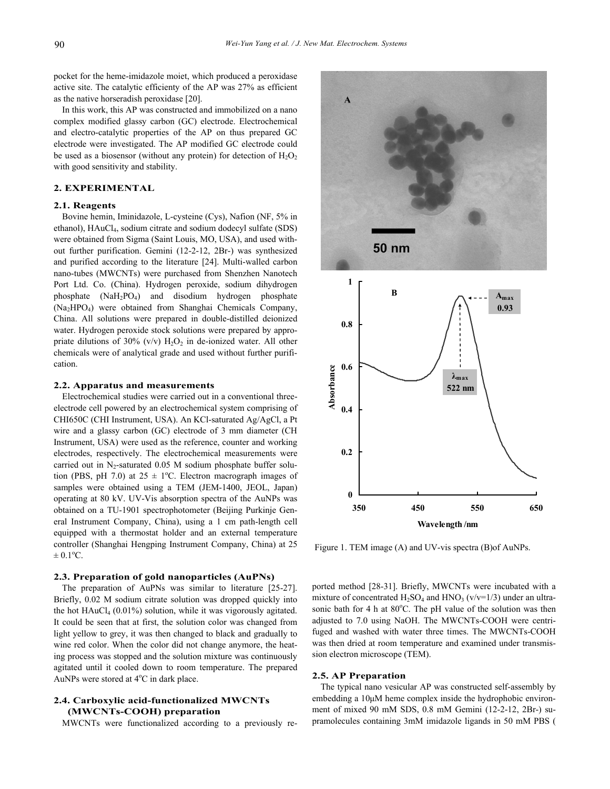pocket for the heme-imidazole moiet, which produced a peroxidase active site. The catalytic efficienty of the AP was 27% as efficient as the native horseradish peroxidase [20].

In this work, this AP was constructed and immobilized on a nano complex modified glassy carbon (GC) electrode. Electrochemical and electro-catalytic properties of the AP on thus prepared GC electrode were investigated. The AP modified GC electrode could be used as a biosensor (without any protein) for detection of  $H_2O_2$ with good sensitivity and stability.

## **2. EXPERIMENTAL**

## **2.1. Reagents**

Bovine hemin, Iminidazole, L-cysteine (Cys), Nafion (NF, 5% in ethanol), HAuCl<sub>4</sub>, sodium citrate and sodium dodecyl sulfate (SDS) were obtained from Sigma (Saint Louis, MO, USA), and used without further purification. Gemini (12-2-12, 2Br-) was synthesized and purified according to the literature [24]. Multi-walled carbon nano-tubes (MWCNTs) were purchased from Shenzhen Nanotech Port Ltd. Co. (China). Hydrogen peroxide, sodium dihydrogen phosphate  $(NaH_2PO_4)$  and disodium hydrogen phosphate (Na2HPO4) were obtained from Shanghai Chemicals Company, China. All solutions were prepared in double-distilled deionized water. Hydrogen peroxide stock solutions were prepared by appropriate dilutions of 30% (v/v)  $H_2O_2$  in de-ionized water. All other chemicals were of analytical grade and used without further purification.

#### **2.2. Apparatus and measurements**

Electrochemical studies were carried out in a conventional threeelectrode cell powered by an electrochemical system comprising of CHI650C (CHI Instrument, USA). An KCl-saturated Ag/AgCl, a Pt wire and a glassy carbon (GC) electrode of 3 mm diameter (CH Instrument, USA) were used as the reference, counter and working electrodes, respectively. The electrochemical measurements were carried out in  $N_2$ -saturated 0.05 M sodium phosphate buffer solution (PBS, pH 7.0) at  $25 \pm 1$ °C. Electron macrograph images of samples were obtained using a TEM (JEM-1400, JEOL, Japan) operating at 80 kV. UV-Vis absorption spectra of the AuNPs was obtained on a TU-1901 spectrophotometer (Beijing Purkinje General Instrument Company, China), using a 1 cm path-length cell equipped with a thermostat holder and an external temperature controller (Shanghai Hengping Instrument Company, China) at 25  $\pm$  0.1<sup>o</sup>C.

#### **2.3. Preparation of gold nanoparticles (AuPNs)**

The preparation of AuPNs was similar to literature [25-27]. Briefly, 0.02 M sodium citrate solution was dropped quickly into the hot  $HAuCl<sub>4</sub>$  (0.01%) solution, while it was vigorously agitated. It could be seen that at first, the solution color was changed from light yellow to grey, it was then changed to black and gradually to wine red color. When the color did not change anymore, the heating process was stopped and the solution mixture was continuously agitated until it cooled down to room temperature. The prepared AuNPs were stored at  $4^{\circ}$ C in dark place.

# **2.4. Carboxylic acid-functionalized MWCNTs (MWCNTs-COOH) preparation**

MWCNTs were functionalized according to a previously re-





Figure 1. TEM image (A) and UV-vis spectra (B)of AuNPs.

ported method [28-31]. Briefly, MWCNTs were incubated with a mixture of concentrated  $H_2SO_4$  and  $HNO_3$  (v/v=1/3) under an ultrasonic bath for 4 h at 80°C. The pH value of the solution was then adjusted to 7.0 using NaOH. The MWCNTs-COOH were centrifuged and washed with water three times. The MWCNTs-COOH was then dried at room temperature and examined under transmission electron microscope (TEM).

#### **2.5. AP Preparation**

The typical nano vesicular AP was constructed self-assembly by embedding a 10μM heme complex inside the hydrophobic environment of mixed 90 mM SDS, 0.8 mM Gemini (12-2-12, 2Br-) supramolecules containing 3mM imidazole ligands in 50 mM PBS (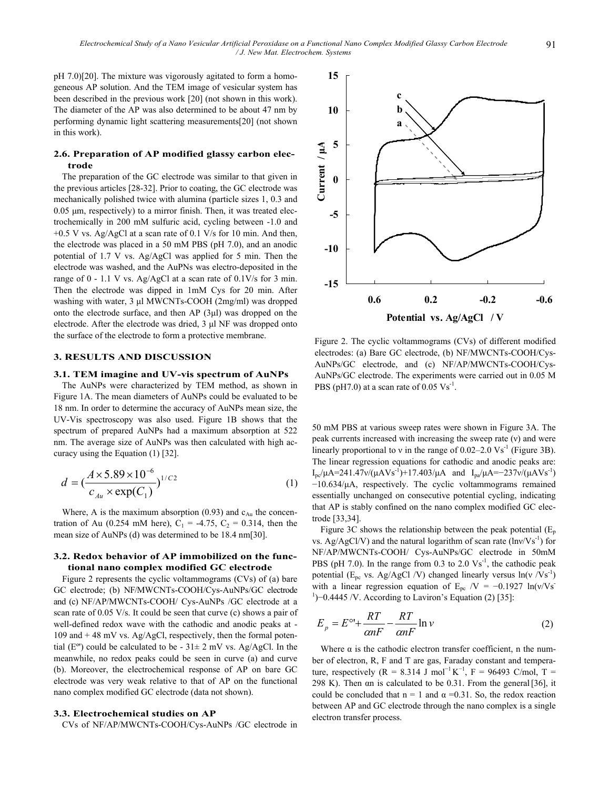pH 7.0)[20]. The mixture was vigorously agitated to form a homogeneous AP solution. And the TEM image of vesicular system has been described in the previous work [20] (not shown in this work). The diameter of the AP was also determined to be about 47 nm by performing dynamic light scattering measurements[20] (not shown in this work).

# **2.6. Preparation of AP modified glassy carbon electrode**

The preparation of the GC electrode was similar to that given in the previous articles [28-32]. Prior to coating, the GC electrode was mechanically polished twice with alumina (particle sizes 1, 0.3 and 0.05 μm, respectively) to a mirror finish. Then, it was treated electrochemically in 200 mM sulfuric acid, cycling between -1.0 and  $+0.5$  V vs. Ag/AgCl at a scan rate of 0.1 V/s for 10 min. And then, the electrode was placed in a 50 mM PBS (pH 7.0), and an anodic potential of 1.7 V vs. Ag/AgCl was applied for 5 min. Then the electrode was washed, and the AuPNs was electro-deposited in the range of 0 - 1.1 V vs. Ag/AgCl at a scan rate of 0.1V/s for 3 min. Then the electrode was dipped in 1mM Cys for 20 min. After washing with water, 3 μl MWCNTs-COOH (2mg/ml) was dropped onto the electrode surface, and then AP (3μl) was dropped on the electrode. After the electrode was dried, 3 μl NF was dropped onto the surface of the electrode to form a protective membrane.

## **3. RESULTS AND DISCUSSION**

#### **3.1. TEM imagine and UV-vis spectrum of AuNPs**

The AuNPs were characterized by TEM method, as shown in Figure 1A. The mean diameters of AuNPs could be evaluated to be 18 nm. In order to determine the accuracy of AuNPs mean size, the UV-Vis spectroscopy was also used. Figure 1B shows that the spectrum of prepared AuNPs had a maximum absorption at 522 nm. The average size of AuNPs was then calculated with high accuracy using the Equation (1) [32].

$$
d = \left(\frac{A \times 5.89 \times 10^{-6}}{c_{Au} \times \exp(C_1)}\right)^{1/C2}
$$
 (1)

Where, A is the maximum absorption (0.93) and  $c_{Au}$  the concentration of Au (0.254 mM here),  $C_1 = -4.75$ ,  $C_2 = 0.314$ , then the mean size of AuNPs (d) was determined to be 18.4 nm[30].

## **3.2. Redox behavior of AP immobilized on the functional nano complex modified GC electrode**

Figure 2 represents the cyclic voltammograms (CVs) of (a) bare GC electrode; (b) NF/MWCNTs-COOH/Cys-AuNPs/GC electrode and (c) NF/AP/MWCNTs-COOH/ Cys-AuNPs /GC electrode at a scan rate of 0.05 V/s. It could be seen that curve (c) shows a pair of well-defined redox wave with the cathodic and anodic peaks at - 109 and + 48 mV vs. Ag/AgCl, respectively, then the formal potential ( $E^{\circ}$ ) could be calculated to be - 31 $\pm$  2 mV vs. Ag/AgCl. In the meanwhile, no redox peaks could be seen in curve (a) and curve (b). Moreover, the electrochemical response of AP on bare GC electrode was very weak relative to that of AP on the functional nano complex modified GC electrode (data not shown).

#### **3.3. Electrochemical studies on AP**

CVs of NF/AP/MWCNTs-COOH/Cys-AuNPs /GC electrode in



Figure 2. The cyclic voltammograms (CVs) of different modified electrodes: (a) Bare GC electrode, (b) NF/MWCNTs-COOH/Cys-AuNPs/GC electrode, and (c) NF/AP/MWCNTs-COOH/Cys-AuNPs/GC electrode. The experiments were carried out in 0.05 M PBS (pH7.0) at a scan rate of  $0.05 \text{ Vs}^{-1}$ .

50 mM PBS at various sweep rates were shown in Figure 3A. The peak currents increased with increasing the sweep rate (ν) and were linearly proportional to v in the range of  $0.02-2.0$  Vs<sup>-1</sup> (Figure 3B). The linear regression equations for cathodic and anodic peaks are: I<sub>pc</sub>/μA=241.47ν/(μAVs<sup>-1</sup>)+17.403/μA and I<sub>pa</sub>/μA=-237ν/(μAVs<sup>-1</sup>) −10.634/μA, respectively. The cyclic voltammograms remained essentially unchanged on consecutive potential cycling, indicating that AP is stably confined on the nano complex modified GC electrode [33,34].

Figure 3C shows the relationship between the peak potential  $(E_p)$ vs. Ag/AgCl/V) and the natural logarithm of scan rate  $\left(\frac{Inv}{Vs^{-1}}\right)$  for NF/AP/MWCNTs-COOH/ Cys-AuNPs/GC electrode in 50mM PBS (pH 7.0). In the range from  $0.3$  to  $2.0 \text{ Vs}^{-1}$ , the cathodic peak potential ( $E_{pc}$  vs. Ag/AgCl /V) changed linearly versus  $ln(v /Vs^{-1})$ with a linear regression equation of E<sub>pc</sub> /V = -0.1927 ln(v/Vs<sup>-</sup> <sup>1</sup>)−0.4445 /V. According to Laviron's Equation (2) [35]:

$$
E_p = E^{\circ} + \frac{RT}{\alpha nF} - \frac{RT}{\alpha nF} \ln \nu \tag{2}
$$

Where  $\alpha$  is the cathodic electron transfer coefficient, n the number of electron, R, F and T are gas, Faraday constant and temperature, respectively (R = 8.314 J mol<sup>-1</sup> K<sup>-1</sup>, F = 96493 C/mol, T = 298 K). Then αn is calculated to be 0.31. From the general[36], it could be concluded that  $n = 1$  and  $\alpha = 0.31$ . So, the redox reaction between AP and GC electrode through the nano complex is a single electron transfer process.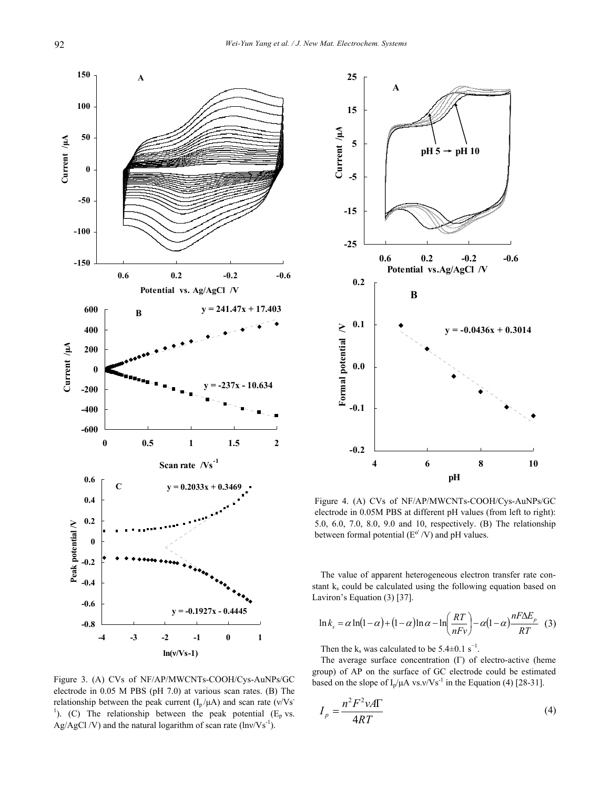

Figure 3. (A) CVs of NF/AP/MWCNTs-COOH/Cys-AuNPs/GC electrode in 0.05 M PBS (pH 7.0) at various scan rates. (B) The relationship between the peak current  $(I_p/\mu A)$  and scan rate  $(v/Vs^-)$ <sup>1</sup>). (C) The relationship between the peak potential ( $E_p$  vs. Ag/AgCl /V) and the natural logarithm of scan rate  $\text{ln}v/\text{Vs}^{-1}$ .



Figure 4. (A) CVs of NF/AP/MWCNTs-COOH/Cys-AuNPs/GC electrode in 0.05M PBS at different pH values (from left to right): 5.0, 6.0, 7.0, 8.0, 9.0 and 10, respectively. (B) The relationship between formal potential  $(E^{\circ}/V)$  and pH values.

The value of apparent heterogeneous electron transfer rate constant  $k_s$  could be calculated using the following equation based on Laviron's Equation (3) [37].

$$
\ln k_s = \alpha \ln(1-\alpha) + (1-\alpha)\ln \alpha - \ln\left(\frac{RT}{nFv}\right) - \alpha(1-\alpha)\frac{nF\Delta E_p}{RT} \quad (3)
$$

Then the  $k_s$  was calculated to be 5.4 $\pm$ 0.1 s<sup>-1</sup>.

The average surface concentration (Γ) of electro-active (heme group) of AP on the surface of GC electrode could be estimated based on the slope of  $I_p/\mu A$  vs.v/Vs<sup>-1</sup> in the Equation (4) [28-31].

$$
I_p = \frac{n^2 F^2 \nu A \Gamma}{4RT} \tag{4}
$$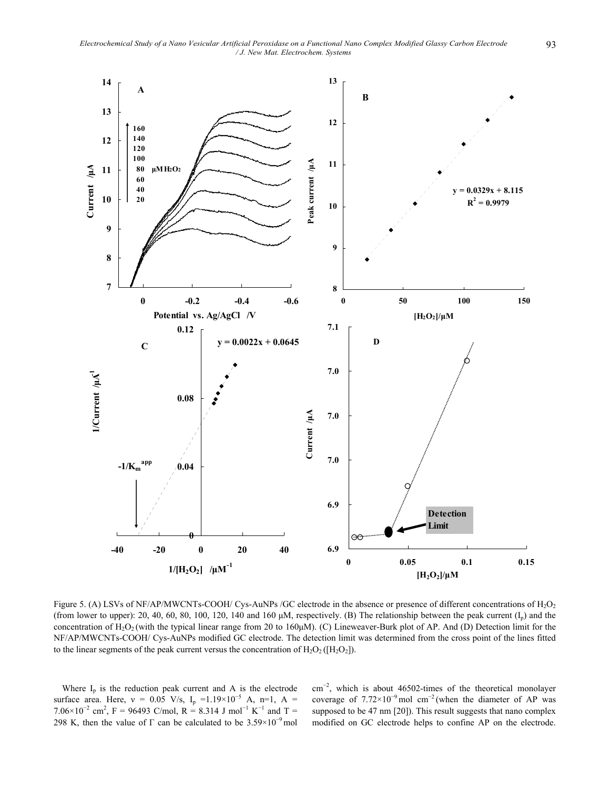*Electrochemical Study of a Nano Vesicular Artificial Peroxidase on a Functional Nano Complex Modified Glassy Carbon Electrode* 93 */ J. New Mat. Electrochem. Systems* 



Figure 5. (A) LSVs of NF/AP/MWCNTs-COOH/ Cys-AuNPs /GC electrode in the absence or presence of different concentrations of  $H_2O_2$ (from lower to upper): 20, 40, 60, 80, 100, 120, 140 and 160  $\mu$ M, respectively. (B) The relationship between the peak current (I<sub>p</sub>) and the concentration of H2O2 (with the typical linear range from 20 to 160μM). (C) Lineweaver-Burk plot of AP. And (D) Detection limit for the NF/AP/MWCNTs-COOH/ Cys-AuNPs modified GC electrode. The detection limit was determined from the cross point of the lines fitted to the linear segments of the peak current versus the concentration of  $H_2O_2([H_2O_2])$ .

Where  $I_p$  is the reduction peak current and A is the electrode surface area. Here,  $v = 0.05$  V/s, I<sub>p</sub> =1.19×10<sup>-5</sup> A, n=1, A = 7.06×10<sup>-2</sup> cm<sup>2</sup>, F = 96493 C/mol, R = 8.314 J mol<sup>-1</sup> K<sup>-1</sup> and T = 298 K, then the value of  $\Gamma$  can be calculated to be 3.59×10<sup>-9</sup> mol

cm<sup>−</sup><sup>2</sup> , which is about 46502-times of the theoretical monolayer coverage of  $7.72\times10^{-9}$  mol cm<sup>-2</sup> (when the diameter of AP was supposed to be 47 nm [20]). This result suggests that nano complex modified on GC electrode helps to confine AP on the electrode.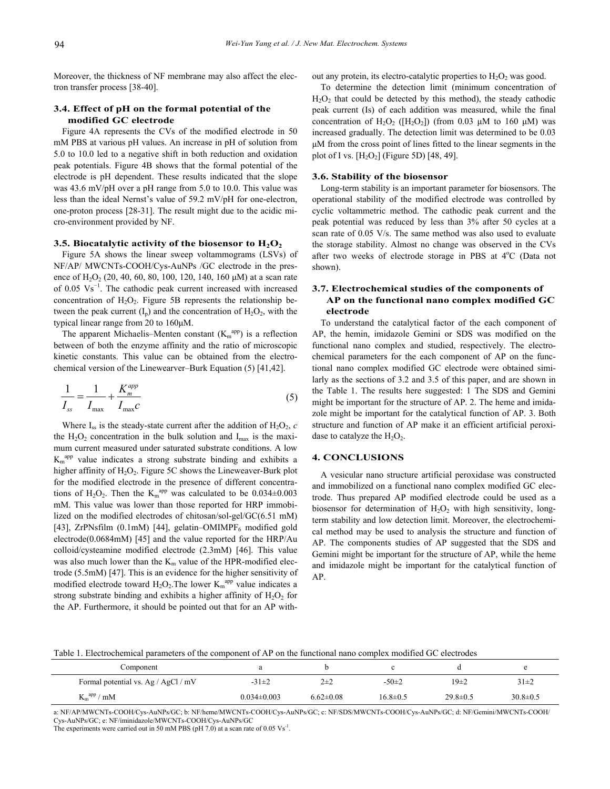Moreover, the thickness of NF membrane may also affect the electron transfer process [38-40].

## **3.4. Effect of pH on the formal potential of the modified GC electrode**

Figure 4A represents the CVs of the modified electrode in 50 mM PBS at various pH values. An increase in pH of solution from 5.0 to 10.0 led to a negative shift in both reduction and oxidation peak potentials. Figure 4B shows that the formal potential of the electrode is pH dependent. These results indicated that the slope was 43.6 mV/pH over a pH range from 5.0 to 10.0. This value was less than the ideal Nernst's value of 59.2 mV/pH for one-electron, one-proton process [28-31]. The result might due to the acidic micro-environment provided by NF.

#### **3.5. Biocatalytic activity of the biosensor to**  $H_2O_2$

Figure 5A shows the linear sweep voltammograms (LSVs) of NF/AP/ MWCNTs-COOH/Cys-AuNPs /GC electrode in the presence of  $H_2O_2$  (20, 40, 60, 80, 100, 120, 140, 160  $\mu$ M) at a scan rate of  $0.05 \text{ Vs}^{-1}$ . The cathodic peak current increased with increased concentration of  $H_2O_2$ . Figure 5B represents the relationship between the peak current  $(I_p)$  and the concentration of  $H_2O_2$ , with the typical linear range from 20 to 160μM.

The apparent Michaelis–Menten constant  $(K<sub>m</sub><sup>app</sup>)$  is a reflection between of both the enzyme affinity and the ratio of microscopic kinetic constants. This value can be obtained from the electrochemical version of the Linewearver–Burk Equation (5) [41,42].

$$
\frac{1}{I_{ss}} = \frac{1}{I_{\text{max}}} + \frac{K_m^{app}}{I_{\text{max}}c}
$$
(5)

Where  $I_{ss}$  is the steady-state current after the addition of  $H_2O_2$ , *c* the  $H_2O_2$  concentration in the bulk solution and  $I_{\text{max}}$  is the maximum current measured under saturated substrate conditions. A low  $K_m^{app}$  value indicates a strong substrate binding and exhibits a higher affinity of  $H_2O_2$ . Figure 5C shows the Lineweaver-Burk plot for the modified electrode in the presence of different concentrations of H<sub>2</sub>O<sub>2</sub>. Then the K<sub>m</sub><sup>app</sup> was calculated to be  $0.034 \pm 0.003$ mM. This value was lower than those reported for HRP immobilized on the modified electrodes of chitosan/sol-gel/GC(6.51 mM) [43], ZrPNsfilm (0.1mM) [44], gelatin–OMIMPF<sub>6</sub> modified gold electrode(0.0684mM) [45] and the value reported for the HRP/Au colloid/cysteamine modified electrode (2.3mM) [46]. This value was also much lower than the  $K_m$  value of the HPR-modified electrode (5.5mM) [47]. This is an evidence for the higher sensitivity of modified electrode toward  $H_2O_2$ . The lower  $K_m^{app}$  value indicates a strong substrate binding and exhibits a higher affinity of  $H_2O_2$  for the AP. Furthermore, it should be pointed out that for an AP without any protein, its electro-catalytic properties to  $H_2O_2$  was good.

To determine the detection limit (minimum concentration of  $H<sub>2</sub>O<sub>2</sub>$  that could be detected by this method), the steady cathodic peak current (Is) of each addition was measured, while the final concentration of  $H_2O_2$  ( $[H_2O_2]$ ) (from 0.03 μM to 160 μM) was increased gradually. The detection limit was determined to be 0.03 μM from the cross point of lines fitted to the linear segments in the plot of I vs.  $[H_2O_2]$  (Figure 5D) [48, 49].

#### **3.6. Stability of the biosensor**

Long-term stability is an important parameter for biosensors. The operational stability of the modified electrode was controlled by cyclic voltammetric method. The cathodic peak current and the peak potential was reduced by less than 3% after 50 cycles at a scan rate of 0.05 V/s. The same method was also used to evaluate the storage stability. Almost no change was observed in the CVs after two weeks of electrode storage in PBS at 4°C (Data not shown).

# **3.7. Electrochemical studies of the components of AP on the functional nano complex modified GC electrode**

To understand the catalytical factor of the each component of AP, the hemin, imidazole Gemini or SDS was modified on the functional nano complex and studied, respectively. The electrochemical parameters for the each component of AP on the functional nano complex modified GC electrode were obtained similarly as the sections of 3.2 and 3.5 of this paper, and are shown in the Table 1. The results here suggested: 1 The SDS and Gemini might be important for the structure of AP. 2. The heme and imidazole might be important for the catalytical function of AP. 3. Both structure and function of AP make it an efficient artificial peroxidase to catalyze the  $H_2O_2$ .

#### **4. CONCLUSIONS**

A vesicular nano structure artificial peroxidase was constructed and immobilized on a functional nano complex modified GC electrode. Thus prepared AP modified electrode could be used as a biosensor for determination of  $H_2O_2$  with high sensitivity, longterm stability and low detection limit. Moreover, the electrochemical method may be used to analysis the structure and function of AP. The components studies of AP suggested that the SDS and Gemini might be important for the structure of AP, while the heme and imidazole might be important for the catalytical function of AP.

Table 1. Electrochemical parameters of the component of AP on the functional nano complex modified GC electrodes

| Component                           |                   |                 |                |                  |                |
|-------------------------------------|-------------------|-----------------|----------------|------------------|----------------|
| Formal potential vs. Ag / AgCl / mV | $-31\pm2$         | $2 + 2$         | $-50\pm2$      | 19 <sub>±2</sub> | $31\pm2$       |
| $K_m^{app}/mM$                      | $0.034 \pm 0.003$ | $6.62 \pm 0.08$ | $16.8 \pm 0.5$ | $29.8 \pm 0.5$   | $30.8 \pm 0.5$ |

a: NF/AP/MWCNTs-COOH/Cys-AuNPs/GC; b: NF/heme/MWCNTs-COOH/Cys-AuNPs/GC; c: NF/SDS/MWCNTs-COOH/Cys-AuNPs/GC; d: NF/Gemini/MWCNTs-COOH/ Cys-AuNPs/GC; e: NF/iminidazole/MWCNTs-COOH/Cys-AuNPs/GC

The experiments were carried out in 50 mM PBS (pH 7.0) at a scan rate of 0.05  $\mathrm{Vs}^{-1}$ .